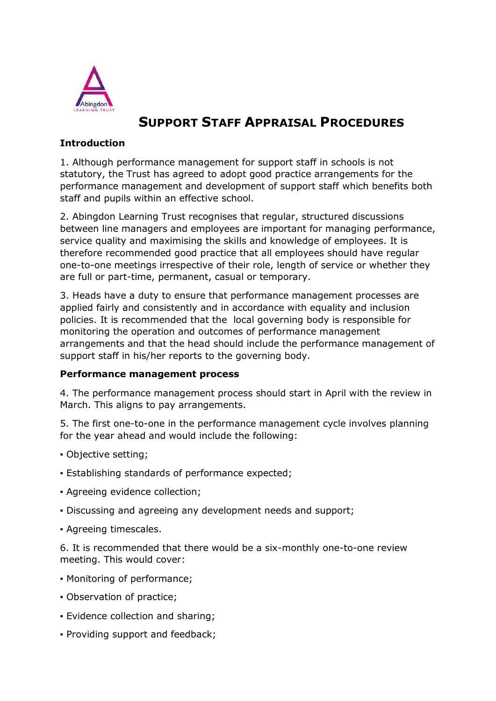

# **SUPPORT STAFF APPRAISAL PROCEDURES**

## **Introduction**

1. Although performance management for support staff in schools is not statutory, the Trust has agreed to adopt good practice arrangements for the performance management and development of support staff which benefits both staff and pupils within an effective school.

2. Abingdon Learning Trust recognises that regular, structured discussions between line managers and employees are important for managing performance, service quality and maximising the skills and knowledge of employees. It is therefore recommended good practice that all employees should have regular one-to-one meetings irrespective of their role, length of service or whether they are full or part-time, permanent, casual or temporary.

3. Heads have a duty to ensure that performance management processes are applied fairly and consistently and in accordance with equality and inclusion policies. It is recommended that the local governing body is responsible for monitoring the operation and outcomes of performance management arrangements and that the head should include the performance management of support staff in his/her reports to the governing body.

#### **Performance management process**

4. The performance management process should start in April with the review in March. This aligns to pay arrangements.

5. The first one-to-one in the performance management cycle involves planning for the year ahead and would include the following:

- Objective setting;
- Establishing standards of performance expected;
- Agreeing evidence collection;
- Discussing and agreeing any development needs and support;
- Agreeing timescales.

6. It is recommended that there would be a six-monthly one-to-one review meeting. This would cover:

- Monitoring of performance;
- Observation of practice;
- Evidence collection and sharing;
- Providing support and feedback;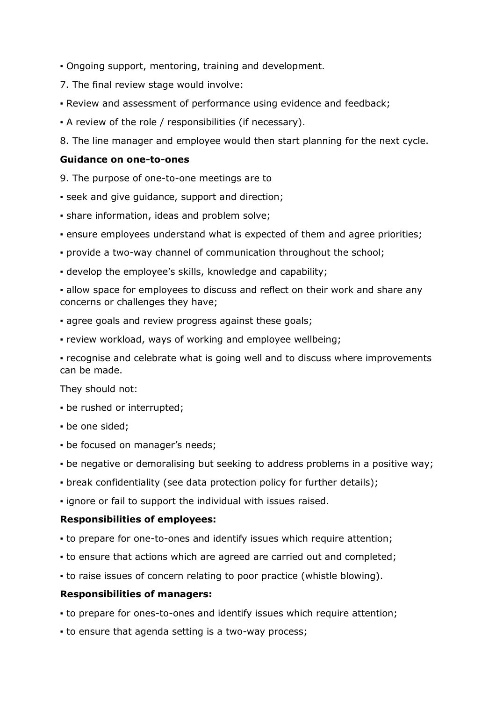- Ongoing support, mentoring, training and development.
- 7. The final review stage would involve:
- Review and assessment of performance using evidence and feedback;
- A review of the role / responsibilities (if necessary).

8. The line manager and employee would then start planning for the next cycle.

#### **Guidance on one-to-ones**

9. The purpose of one-to-one meetings are to

▪ seek and give guidance, support and direction;

- share information, ideas and problem solve;
- ensure employees understand what is expected of them and agree priorities;
- provide a two-way channel of communication throughout the school;
- develop the employee's skills, knowledge and capability;

▪ allow space for employees to discuss and reflect on their work and share any concerns or challenges they have;

- agree goals and review progress against these goals;
- review workload, ways of working and employee wellbeing;

▪ recognise and celebrate what is going well and to discuss where improvements can be made.

They should not:

- be rushed or interrupted;
- be one sided;
- be focused on manager's needs;
- be negative or demoralising but seeking to address problems in a positive way;
- break confidentiality (see data protection policy for further details);
- ignore or fail to support the individual with issues raised.

#### **Responsibilities of employees:**

- to prepare for one-to-ones and identify issues which require attention;
- to ensure that actions which are agreed are carried out and completed;
- to raise issues of concern relating to poor practice (whistle blowing).

#### **Responsibilities of managers:**

- to prepare for ones-to-ones and identify issues which require attention;
- to ensure that agenda setting is a two-way process;